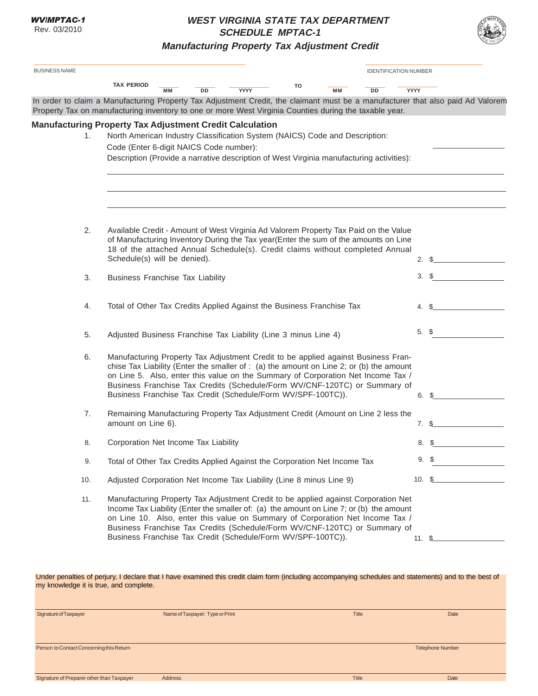## **WEST VIRGINIA STATE TAX DEPARTMENT SCHEDULE MPTAC-1**



**Manufacturing Property Tax Adjustment Credit**

|                                                              | <b>TAX PERIOD</b>                                                                                                                                          |           |    |                                                                                                                                                                              | то                                                                                       |           |           |             |                     |  |
|--------------------------------------------------------------|------------------------------------------------------------------------------------------------------------------------------------------------------------|-----------|----|------------------------------------------------------------------------------------------------------------------------------------------------------------------------------|------------------------------------------------------------------------------------------|-----------|-----------|-------------|---------------------|--|
|                                                              | In order to claim a Manufacturing Property Tax Adjustment Credit, the claimant must be a manufacturer that also paid Ad Valorem                            | <b>MM</b> | DD | YYYY                                                                                                                                                                         |                                                                                          | <b>MM</b> | <b>DD</b> | <b>YYYY</b> |                     |  |
|                                                              | Property Tax on manufacturing inventory to one or more West Virginia Counties during the taxable year.                                                     |           |    |                                                                                                                                                                              |                                                                                          |           |           |             |                     |  |
|                                                              | <b>Manufacturing Property Tax Adjustment Credit Calculation</b>                                                                                            |           |    |                                                                                                                                                                              |                                                                                          |           |           |             |                     |  |
| 1.                                                           | North American Industry Classification System (NAICS) Code and Description:                                                                                |           |    |                                                                                                                                                                              |                                                                                          |           |           |             |                     |  |
|                                                              | Code (Enter 6-digit NAICS Code number):                                                                                                                    |           |    |                                                                                                                                                                              |                                                                                          |           |           |             |                     |  |
|                                                              |                                                                                                                                                            |           |    |                                                                                                                                                                              | Description (Provide a narrative description of West Virginia manufacturing activities): |           |           |             |                     |  |
|                                                              |                                                                                                                                                            |           |    |                                                                                                                                                                              |                                                                                          |           |           |             |                     |  |
|                                                              |                                                                                                                                                            |           |    |                                                                                                                                                                              |                                                                                          |           |           |             |                     |  |
|                                                              |                                                                                                                                                            |           |    |                                                                                                                                                                              |                                                                                          |           |           |             |                     |  |
| 2.                                                           | Available Credit - Amount of West Virginia Ad Valorem Property Tax Paid on the Value                                                                       |           |    |                                                                                                                                                                              |                                                                                          |           |           |             |                     |  |
|                                                              |                                                                                                                                                            |           |    | of Manufacturing Inventory During the Tax year(Enter the sum of the amounts on Line                                                                                          |                                                                                          |           |           |             |                     |  |
|                                                              | Schedule(s) will be denied).                                                                                                                               |           |    | 18 of the attached Annual Schedule(s). Credit claims without completed Annual                                                                                                |                                                                                          |           |           |             | $2. \,$ \$          |  |
|                                                              |                                                                                                                                                            |           |    |                                                                                                                                                                              |                                                                                          |           |           | 3.          | S                   |  |
| 3.                                                           | <b>Business Franchise Tax Liability</b>                                                                                                                    |           |    |                                                                                                                                                                              |                                                                                          |           |           |             |                     |  |
| 4.                                                           |                                                                                                                                                            |           |    | Total of Other Tax Credits Applied Against the Business Franchise Tax                                                                                                        |                                                                                          |           |           |             | 4. \$               |  |
|                                                              |                                                                                                                                                            |           |    |                                                                                                                                                                              |                                                                                          |           |           |             |                     |  |
| 5.                                                           |                                                                                                                                                            |           |    | Adjusted Business Franchise Tax Liability (Line 3 minus Line 4)                                                                                                              |                                                                                          |           |           |             | 5. \$               |  |
|                                                              |                                                                                                                                                            |           |    |                                                                                                                                                                              |                                                                                          |           |           |             |                     |  |
| 6.                                                           |                                                                                                                                                            |           |    | Manufacturing Property Tax Adjustment Credit to be applied against Business Fran-<br>chise Tax Liability (Enter the smaller of : (a) the amount on Line 2; or (b) the amount |                                                                                          |           |           |             |                     |  |
|                                                              |                                                                                                                                                            |           |    | on Line 5. Also, enter this value on the Summary of Corporation Net Income Tax /                                                                                             |                                                                                          |           |           |             |                     |  |
|                                                              |                                                                                                                                                            |           |    | Business Franchise Tax Credits (Schedule/Form WV/CNF-120TC) or Summary of<br>Business Franchise Tax Credit (Schedule/Form WV/SPF-100TC)).                                    |                                                                                          |           |           |             | 6. S                |  |
| 7.                                                           |                                                                                                                                                            |           |    | Remaining Manufacturing Property Tax Adjustment Credit (Amount on Line 2 less the                                                                                            |                                                                                          |           |           |             |                     |  |
|                                                              | amount on Line 6).                                                                                                                                         |           |    |                                                                                                                                                                              |                                                                                          |           |           |             | 7. \$               |  |
| 8.                                                           | Corporation Net Income Tax Liability                                                                                                                       |           |    |                                                                                                                                                                              |                                                                                          |           |           | 8.          | S                   |  |
|                                                              |                                                                                                                                                            |           |    |                                                                                                                                                                              |                                                                                          |           |           |             |                     |  |
| 9.                                                           |                                                                                                                                                            |           |    | Total of Other Tax Credits Applied Against the Corporation Net Income Tax                                                                                                    |                                                                                          |           |           |             | $9.$ \$             |  |
| 10.                                                          |                                                                                                                                                            |           |    | Adjusted Corporation Net Income Tax Liability (Line 8 minus Line 9)                                                                                                          |                                                                                          |           |           |             | 10. $\frac{6}{100}$ |  |
| 11.                                                          |                                                                                                                                                            |           |    | Manufacturing Property Tax Adjustment Credit to be applied against Corporation Net                                                                                           |                                                                                          |           |           |             |                     |  |
|                                                              |                                                                                                                                                            |           |    | Income Tax Liability (Enter the smaller of: (a) the amount on Line 7; or (b) the amount                                                                                      |                                                                                          |           |           |             |                     |  |
|                                                              | on Line 10. Also, enter this value on Summary of Corporation Net Income Tax /<br>Business Franchise Tax Credits (Schedule/Form WV/CNF-120TC) or Summary of |           |    |                                                                                                                                                                              |                                                                                          |           |           |             |                     |  |
| Business Franchise Tax Credit (Schedule/Form WV/SPF-100TC)). |                                                                                                                                                            |           |    |                                                                                                                                                                              |                                                                                          | $11. \S$  |           |             |                     |  |
|                                                              |                                                                                                                                                            |           |    |                                                                                                                                                                              |                                                                                          |           |           |             |                     |  |
|                                                              | Under penalties of perjury, I declare that I have examined this credit claim form (including accompanying schedules and statements) and to the best of     |           |    |                                                                                                                                                                              |                                                                                          |           |           |             |                     |  |

| Signature of Taxpayer                     | Name of Taxpayer: Type or Print | <b>Title</b> | Date                    |
|-------------------------------------------|---------------------------------|--------------|-------------------------|
|                                           |                                 |              |                         |
|                                           |                                 |              |                         |
|                                           |                                 |              |                         |
| Person to Contact Concerning this Return  |                                 |              | <b>Telephone Number</b> |
|                                           |                                 |              |                         |
|                                           |                                 |              |                         |
|                                           |                                 |              |                         |
| Signature of Preparer other than Taxpayer | Address                         | <b>Title</b> | Date                    |